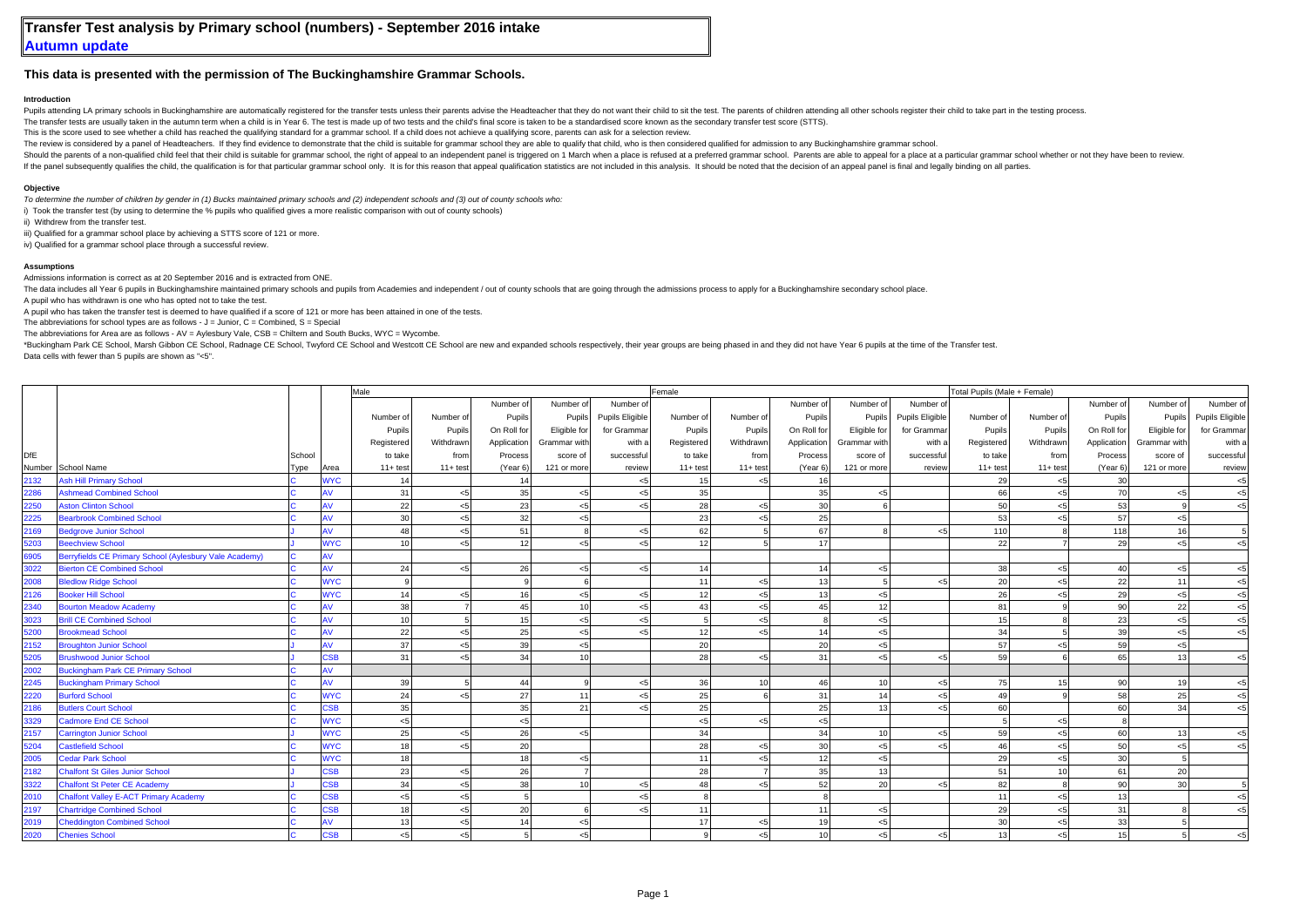## **This data is presented with the permission of The Buckinghamshire Grammar Schools.**

## **Introduction**

Pupils attending LA primary schools in Buckinghamshire are automatically registered for the transfer tests unless their parents advise the Headteacher that they do not want their child to sit the test. The parents of child

The transfer tests are usually taken in the autumn term when a child is in Year 6. The test is made up of two tests and the child's final score is taken to be a standardised score known as the secondary transfer test score

This is the score used to see whether a child has reached the qualifying standard for a grammar school. If a child does not achieve a qualifying score, parents can ask for a selection review.

The review is considered by a panel of Headteachers. If they find evidence to demonstrate that the child is suitable for grammar school they are able to qualify that child. who is then considered qualified for admission to

Should the parents of a non-qualified child feel that their child is suitable for grammar school, the right of appeal to an independent panel is triggered on 1 March when a place is refused at a preferred grammar school. P

If the panel subsequently qualifies the child, the qualification is for that particular grammar school only. It is for this reason that appeal qualification statistics are not included in this analysis. It should be noted

## **Objective**

*To determine the number of children by gender in (1) Bucks maintained primary schools and (2) independent schools and (3) out of county schools who:*

i) Took the transfer test (by using to determine the % pupils who qualified gives a more realistic comparison with out of county schools)

ii) Withdrew from the transfer test.

iii) Qualified for a grammar school place by achieving a STTS score of 121 or more.

iv) Qualified for a grammar school place through a successful review.

## **Assumptions**

Admissions information is correct as at 20 September 2016 and is extracted from ONE.

The data includes all Year 6 pupils in Buckinghamshire maintained primary schools and pupils from Academies and independent / out of county schools that are going through the admissions process to apply for a Buckinghamshi

A pupil who has withdrawn is one who has opted not to take the test.

A pupil who has taken the transfer test is deemed to have qualified if a score of 121 or more has been attained in one of the tests.

The abbreviations for school types are as follows -  $J =$  Junior,  $C =$  Combined,  $S =$  Special

The abbreviations for Area are as follows - AV = Aylesbury Vale, CSB = Chiltern and South Bucks, WYC = Wycombe.

\*Buckingham Park CE School, Marsh Gibbon CE School, Radnage CE School, Twyford CE School and Westcott CE School are new and expanded schools respectively, their year groups are being phased in and they did not have Year 6 Data cells with fewer than 5 pupils are shown as "<5".

|      |                                                        |        |                         | Male        |                         |              |              |                        | Female         |                 |                 |                |                         | Total Pupils (Male + Female) |             |             |              |                 |
|------|--------------------------------------------------------|--------|-------------------------|-------------|-------------------------|--------------|--------------|------------------------|----------------|-----------------|-----------------|----------------|-------------------------|------------------------------|-------------|-------------|--------------|-----------------|
|      |                                                        |        |                         |             |                         | Number of    | Number of    | Number of              |                |                 | Number of       | Number of      | Number of               |                              |             | Number of   | Number of    | Number of       |
|      |                                                        |        |                         | Number of   | Number of               | Pupils       | Pupils       | <b>Pupils Eligible</b> | Number of      | Number of       | Pupils          | Pupils         | <b>Pupils Eligible</b>  | Number of                    | Number of   | Pupils      | Pupils       | Pupils Eligible |
|      |                                                        |        |                         | Pupils      | Pupils                  | On Roll for  | Eligible for | for Grammar            | Pupils         | Pupils          | On Roll for     | Eligible for   | for Grammar             | Pupils                       | Pupils      | On Roll for | Eligible for | for Gramma      |
|      |                                                        |        |                         | Registered  | Withdrawn               | Application  | Grammar with | with a                 | Registered     | Withdrawn       | Application     | Grammar with   | with a                  | Registered                   | Withdrawn   | Application | Grammar with | with a          |
| DfE  |                                                        | School |                         | to take     | from                    | Process      | score of     | successfu              | to take        | from            | Process         | score of       | successfu               | to take                      | from        | Process     | score of     | successful      |
|      | Number School Name                                     | Гуре   | Area                    | $11 + test$ | $11+ test$              | (Year 6)     | 121 or more  | review                 | $11+ test$     | $11 + test$     | (Year 6)        | 121 or more    | review                  | $11 + test$                  | $11 + test$ | (Year 6)    | 121 or more  | review          |
| 2132 | <b>Ash Hill Primary School</b>                         |        | <b>WYC</b>              | 14          |                         | 14           |              | ا ر                    | 15             | < 5             | 16              |                |                         | 29                           | < 5         | 30          |              | بي              |
| 2286 | <b>Ashmead Combined School</b>                         |        |                         | 31          | $<$ 5                   | 35           | $<$ 5        |                        | 35             |                 | 35              | <5             |                         | 66                           | < 5         | 70          | < 5          | $<$ 5           |
| 2250 | <b>Aston Clinton School</b>                            |        | AV                      | 22          | $<$ 5                   | 23           | < 5          | ا ر                    | 28             | < 5             | 30              |                |                         | 50                           | < 5         | 53          |              | < 5             |
| 2225 | <b>Bearbrook Combined School</b>                       |        | AV                      | 30          | $<$ 5                   | 32           | < 5          |                        | 23             | $<$ 5           | 25              |                |                         | 53                           | < 5         | 57          | $<$ 5        |                 |
| 2169 | <b>Bedgrove Junior School</b>                          |        | AV                      | 48          | $<$ 5                   | 51           | $\mathbf{R}$ | ا ہے۔                  | 62             |                 | 67              |                | 55                      | 110                          |             | 118         | 16           |                 |
| 5203 | <b>Beechview School</b>                                |        | <b>WYC</b>              | 10          | $\epsilon$ <sub>5</sub> | 12           | < 5          | أح                     | 12             |                 | 17              |                |                         | 22                           |             | 29          | < 5          | $\leq$          |
| 6905 | Berryfields CE Primary School (Aylesbury Vale Academy) |        | AV                      |             |                         |              |              |                        |                |                 |                 |                |                         |                              |             |             |              |                 |
| 3022 | <b>Bierton CE Combined School</b>                      |        | AV                      | 24          | $<$ 5                   | 26           | $<$ 5        | ا ر                    | 14             |                 | 14              | $5$            |                         | 38                           | < 5         | 40          | $<$ 5        | $<$ 5           |
| 2008 | <b>Bledlow Ridge School</b>                            |        | <b>WYC</b>              | $\circ$     |                         | $\mathsf{Q}$ |              |                        | 11             | < 5             | 13              |                | 55                      | 20                           | < 5         | 22          | 11           | < 5             |
| 2126 | <b>Booker Hill School</b>                              |        | <b>WYC</b>              | 14          | $<$ 5                   | 16           | < 5          | ا ر                    | 12             | < 5             | 13              | < 5            |                         | 26                           | <5          | 29          | < 5          | $<$ 5           |
| 2340 | <b>Bourton Meadow Academy</b>                          |        | ١V                      | 38          |                         | 45           | 10           | ا ر                    | 43             | < 5             | 45              | 12             |                         | 81                           |             | 90          | 22           | < 5             |
| 3023 | <b>Brill CE Combined School</b>                        |        | w                       | 10          |                         | 15           | < 5          | ا ر                    |                | < 5             | $\mathbf{R}$    | 5 <sub>5</sub> |                         | 15                           |             | 23          | $<$ 5        | < 5             |
| 5200 | <b>Brookmead School</b>                                |        | AV                      | 22          | $<$ 5                   | 25           | < 5          |                        | 12             | < 5             | 14              | < 5            |                         | 34                           |             | 39          | < 5          | $\leq$          |
| 2152 | <b>Broughton Junior School</b>                         |        | AV                      | 37          | $<$ 5                   | 39           | < 5          |                        | 20             |                 | 20              | < 5            |                         | 57                           |             | 59          | < 5          |                 |
| 5205 | <b>Brushwood Junior School</b>                         |        | SSB                     | 31          | $<$ 5                   | 34           | 10           |                        | 28             | < 5             | 31              | $<$ 5          | بمر                     | 59                           |             | 65          | 13           | ۴>              |
| 2002 | <b>Buckingham Park CE Primary School</b>               |        | ۹V                      |             |                         |              |              |                        |                |                 |                 |                |                         |                              |             |             |              |                 |
| 2245 | <b>Buckingham Primary School</b>                       |        | AV                      | 39          |                         | 44           |              | بي -                   | 36             | 10 <sup>1</sup> | 46              | 10             | $\epsilon$ <sub>5</sub> | 75                           | 15          | 90          | 19           | < 5             |
| 2220 | <b>Burford School</b>                                  |        | <b>WYC</b>              | 24          | $<$ 5                   | 27           | 11           |                        | 25             |                 | 31              | 14             | بمر                     | 49                           |             | 58          | 25           | $<$ 5           |
| 2186 | <b>Butlers Court School</b>                            |        | $\overline{\text{S}}$ B | 35          |                         | 35           | 21           |                        | 25             |                 | 25              | 13             | بمر                     | 60                           |             | 60          | 34           | $<$ 5           |
| 3329 | <b>Cadmore End CE School</b>                           |        | <b>WYC</b>              | < 5         |                         | < 5          |              |                        | 5 <sub>5</sub> | < 5             | < 5             |                |                         |                              | < 5         |             |              |                 |
| 2157 | <b>Carrington Junior School</b>                        |        | <b>WYC</b>              | 25          | $<$ 5                   | 26           | < 5          |                        | 34             |                 | 34              | 10             | $\epsilon$ <sub>5</sub> | 59                           | < 5         | 60          | 13           | <5              |
| 5204 | <b>Castlefield School</b>                              |        | <b>WYC</b>              | 18          | $<$ 5                   | 20           |              |                        | 28             | < 5             | 30              | < 5            | بمر                     | 46                           | < 5         | 50          | < 5          | $\leq$          |
| 2005 | <b>Cedar Park School</b>                               |        | <b>WYC</b>              | 18          |                         | 18           | < 5          |                        | 11             | < 5             | 12              | < 5            |                         | 29                           | < 5         | 30          |              |                 |
| 2182 | <b>Chalfont St Giles Junior School</b>                 |        | SSB                     | 23          | $<$ 5                   | 26           |              |                        | 28             |                 | 35              | 13             |                         | 51                           | 10          | 61          | 20           |                 |
| 3322 | <b>Chalfont St Peter CE Academy</b>                    |        | SSB                     | 34          | $<$ 5                   | 38           | 10           | ا ے                    | 48             | 55              | 52              | 20             | $\epsilon$ 5            | 82                           |             | 90          | 30           |                 |
| 2010 | <b>Chalfont Valley E-ACT Primary Academy</b>           |        | <b>SB</b>               | < 5         | $<$ 5                   | 5            |              |                        |                |                 |                 |                |                         | 11                           | < 5         | 13          |              |                 |
| 2197 | <b>Chartridge Combined School</b>                      |        | $\overline{\text{S}}$ B | 18          | $<$ 5                   | 20           |              |                        | 11             |                 | 11              | $<$ 5          |                         | 29                           | < 5         | 31          |              |                 |
| 2019 | <b>Cheddington Combined School</b>                     |        | W                       | 13          | $< 5$                   | 14           | < 5          |                        | 17             | < 5             | 19              | < 5            |                         | 30                           | $< 5$       | 33          |              |                 |
| 2020 | <b>Chenies School</b>                                  |        | $\overline{\text{S}}$ B | 5           | $\epsilon$ <sub>5</sub> |              | < 5          |                        |                | < 5             | 10 <sup>1</sup> | < 5            | < 5                     | 13                           | <5          | 15          |              |                 |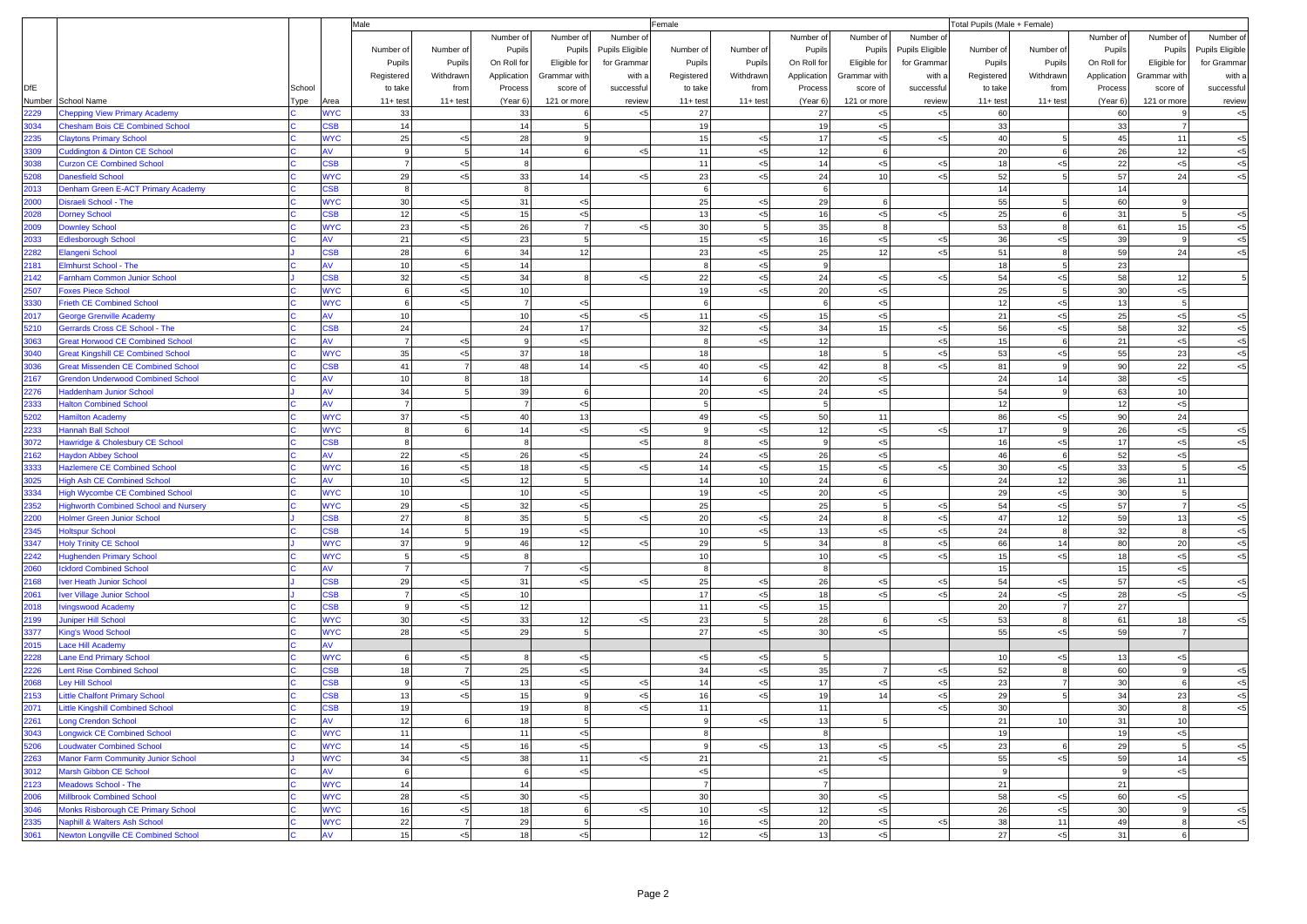|              |                                                                            |        |                  | Male                 |                |                 |                      | Female<br>Total Pupils (Male + Female) |                      |                |                      |                |                 |            |                     |             |                      |                 |
|--------------|----------------------------------------------------------------------------|--------|------------------|----------------------|----------------|-----------------|----------------------|----------------------------------------|----------------------|----------------|----------------------|----------------|-----------------|------------|---------------------|-------------|----------------------|-----------------|
|              |                                                                            |        |                  |                      |                | Number of       | Number of            | Number o                               |                      |                | Number of            | Number of      | Number o        |            |                     | Number of   | Number of            | Number of       |
|              |                                                                            |        |                  | Number of            | Number of      | Pupils          | Pupils               | Pupils Eligible                        | Number of            | Number of      | Pupils               | Pupils         | Pupils Eligible | Number of  | Number of           | Pupils      | Pupils               | Pupils Eligible |
|              |                                                                            |        |                  | Pupils               | Pupils         | On Roll for     | Eligible for         | for Grammar                            | Pupils               | Pupils         | On Roll for          | Eligible for   | for Grammar     | Pupils     | Pupils              | On Roll for | Eligible for         | for Grammar     |
|              |                                                                            |        |                  | Registered           | Withdrawn      | Application     | Grammar with         | with a                                 | Registered           | Withdrawn      | Application          | Grammar with   | with a          | Registered | Withdrawn           | Application | Grammar with         | with a          |
| <b>DfE</b>   |                                                                            | School |                  | to take              | from           | Process         | score of             | successful                             | to take              | from           | Process              | score of       | successful      | to take    | from                | Process     | score of             | successful      |
|              | Number School Name                                                         | Гуре   | Area             | $11 + test$          | $11+ test$     | (Year 6)        | 121 or more          | review                                 | $11+ test$           | $11 + test$    | (Year 6)             | 121 or more    | review          | $11+ test$ | $11 + \text{test}$  | (Year 6)    | 121 or more          | review          |
| 2229         | <b>Chepping View Primary Academy</b>                                       |        | <b>NYC</b>       | 33                   |                | 33              | 6                    | $<$ 5                                  | 27                   |                | 27                   | $<$ 5          | $<$ 5           | 60         |                     | 60          |                      | $< 5\,$         |
| 3034         | <b>Chesham Bois CE Combined School</b>                                     |        | <b>SB</b>        | 14                   |                | 14              | 5 <sup>1</sup>       |                                        | 19                   |                | 19                   | $< 5\,$        |                 | 33         |                     | 33          | $\overline{7}$       |                 |
| 2235<br>3309 | <b>Claytons Primary School</b><br><b>Cuddington &amp; Dinton CE School</b> |        | <b>WYC</b>       | 25<br>9              | $< 5\,$<br>5   | 28<br>14        | 9<br>6               | < 5                                    | 15<br>11             | < 5<br>$< 5$   | 17<br>12             | $5$<br>6       | $<$ 5           | 40<br>20   | 5 <sub>5</sub><br>6 | 45<br>26    | 11<br>12             | $<$ 5           |
| 3038         | <b>Curzon CE Combined School</b>                                           |        | <b>SB</b>        | $\overline{7}$       | < 5            | 8               |                      |                                        | 11                   | < 5            | 14                   | $5$            | $\prec$         | 18         | $< 5$               | 22          | < 5                  | $< 5$<br>$< 5$  |
| 5208         | <b>Danesfield School</b>                                                   |        | <b>WYC</b>       | 29                   | ${<}5$         | 33              | 14                   | $< 5$                                  | 23                   | < 5            | 24                   | 10             | $5$             | 52         | 5                   | 57          | 24                   | < 5             |
| 2013         | Denham Green E-ACT Primary Academy                                         |        | <b>SB</b>        | 8                    |                | 8               |                      |                                        | 6                    |                | 6                    |                |                 | 14         |                     | 14          |                      |                 |
| 2000         | Disraeli School - The                                                      |        | <b>WYC</b>       | 30                   | $< 5\,$        | 31              | < 5                  |                                        | 25                   | < 5            | 29                   | -6             |                 | 55         |                     | 60          |                      |                 |
| 2028         | <b>Dorney School</b>                                                       |        | <b>SB</b>        | 12                   | < 5            | 15              | < 5                  |                                        | 13                   | $< 5$          | 16                   | $< 5$          | $5$             | 25         | 6                   | 31          | $\overline{5}$       | $< 5$           |
| 2009         | <b>Downley School</b>                                                      |        | <b>WYC</b>       | 23                   | < 5            | 26              | $\overline{7}$       | < 5                                    | 30 <sup>1</sup>      | $\overline{5}$ | 35                   | -8             |                 | 53         | 8                   | 61          | 15                   | $< 5$           |
| 2033         | <b>Edlesborough School</b>                                                 |        |                  | 21                   | < 5            | 23              | 5                    |                                        | 15                   | $< 5$          | 16                   | $< 5$          | $<$ 5           | 36         | < 5                 | 39          |                      | < 5             |
| 2282         | <b>Elangeni School</b>                                                     |        | <b>SB</b>        | 28                   | 6              | 34              | 12                   |                                        | 23                   | $< 5$          | 25                   | 12             | $<$ 5           | 51         | 8                   | 59          | 24                   | $< 5$           |
| 2181         | <b>Elmhurst School - The</b>                                               |        | AV               | 10                   | ${<}5$         | 14              |                      |                                        | $\mathbf{8}$         | < 5            | 9                    |                |                 | 18         | 5 <sub>5</sub>      | 23          |                      |                 |
| 2142         | Farnham Common Junior School                                               |        | <b>SB</b>        | 32                   | < 5            | 34              | 8                    | < 5                                    | 22                   | < 5            | 24                   | $<$ 5          | $<$ 5           | 54         | < 5                 | 58          | 12                   | $\overline{5}$  |
| 2507         | <b>Foxes Piece School</b>                                                  |        | <b>VYC</b>       | 6                    | $< 5$          | 10              |                      |                                        | 19                   | <5             | 20                   | $< 5$          |                 | 25         | 5                   | 30          | $< 5$                |                 |
| 3330         | <b>Frieth CE Combined School</b>                                           |        | <b>WYC</b>       | 6                    | $< 5$          | $\overline{7}$  | $<$ 5                |                                        | $6\overline{6}$      |                | $6\overline{6}$      | $5$            |                 | 12         | < 5                 | 13          | $\overline{5}$       |                 |
| 2017         | <b>George Grenville Academy</b>                                            |        | AV               | 10                   |                | 10              | $<$ 5                | < 5                                    | 11                   | < 5            | 15                   | $5$            |                 | 21         | < 5                 | $25\,$      | < 5                  | $<$ 5           |
| 5210         | Gerrards Cross CE School - The                                             |        | <b>SB</b>        | 24                   |                | 24              | 17                   |                                        | 32                   | $< 5$          | 34                   | 15             | $5$             | 56         | $< 5$               | 58          | 32                   | $< 5$           |
| 3063         | <b>Great Horwood CE Combined School</b>                                    |        |                  | $\overline{7}$       | < 5            | 9               | $<$ 5                |                                        | 8                    | < 5            | 12                   |                | $\prec$         | 15         | 6                   | 21          | $< 5$                | $<$ 5           |
| 3040         | <b>Great Kingshill CE Combined School</b>                                  |        | <b>WYC</b>       | 35                   | < 5            | 37              | 18                   |                                        | 18                   |                | 18                   | 5              | $<$ 5           | 53         | $< 5$               | 55          | 23                   | $< 5$           |
| 3036         | <b>Great Missenden CE Combined School</b>                                  |        | <b>SB</b>        | 41                   | 7              | 48              | 14                   | $< 5$                                  | 40                   | $< 5$          | 42                   | 8              | $<$ 5           | 81         | 9                   | 90          | 22                   | $< 5$           |
| 2167         | <b>Grendon Underwood Combined School</b>                                   |        |                  | 10                   | 8              | 18              |                      |                                        | 14                   | 6              | 20                   | < 5            |                 | 24         | 14                  | 38          | $< 5$                |                 |
| 2276         | <b>Haddenham Junior School</b>                                             |        | AV<br>AV         | 34                   | 5              | 39              | 6                    |                                        | 20<br>$\overline{5}$ | < 5            | 24                   | $< 5$          |                 | 54         | $_{9}$              | 63          | 10                   |                 |
| 2333<br>5202 | <b>Halton Combined School</b><br><b>Hamilton Academy</b>                   |        | <b>WYC</b>       | $\overline{7}$<br>37 | $< 5$          | 7<br>40         | < 5<br>13            |                                        | 49                   | < 5            | 5 <sub>5</sub><br>50 | 11             |                 | 12<br>86   | < 5                 | 12<br>90    | $< 5$                |                 |
| 2233         | <b>Hannah Ball School</b>                                                  |        | <b>WYC</b>       |                      | 6              | 14              | < 5                  | $<$ 5                                  | 9                    | $<$ 5          | 12                   | $< 5$          | $<$ 5           | 17         | 9                   | 26          | 24<br>$<$ 5          | $< 5$           |
| 3072         | Hawridge & Cholesbury CE School                                            |        | <b>SB</b>        | $\mathbf{8}$         |                | $\mathbf{R}$    |                      | $5$                                    | $\mathbf{8}$         | < 5            | $\mathbf{Q}$         | $< 5$          |                 | 16         | $< 5$               | 17          | < 5                  | $5$             |
| 2162         | <b>Haydon Abbey School</b>                                                 |        | AV               | 22                   | < 5            | 26              | $<$ 5                |                                        | 24                   | < 5            | 26                   | $5$            |                 | 46         | 6                   | 52          | < 5                  |                 |
| 3333         | <b>Hazlemere CE Combined School</b>                                        |        | <b>WYC</b>       | 16                   | < 5            | 18              | < 5                  | $5$                                    | 14                   | $5$            | 15                   | $< 5$          | $<$ 5           | 30         | $< 5$               | 33          | 5                    | $< 5$           |
| 3025         | <b>High Ash CE Combined School</b>                                         |        | AV               | 10                   | < 5            | 12              | 5 <sup>1</sup>       |                                        | 14                   | 10             | 24                   | 6              |                 | 24         | 12                  | 36          | 11                   |                 |
| 3334         | <b>High Wycombe CE Combined School</b>                                     |        | <b>WYC</b>       | 10                   |                | 10 <sup>1</sup> | < 5                  |                                        | 19                   | < 5            | 20                   | $< 5$          |                 | 29         | $< 5$               | 30          | 5                    |                 |
| 2352         | <b>Highworth Combined School and Nursery</b>                               |        | <b>WYC</b>       | 29                   | < 5            | 32              | < 5                  |                                        | 25                   |                | 25                   | 5              | $5$             | 54         | < 5                 | 57          | $\overline{7}$       | < 5             |
| 2200         | <b>Holmer Green Junior School</b>                                          |        | <b>SB</b>        | 27                   | 8              | 35              | 5                    | $<$ 5                                  | 20                   | < 5            | 24                   | -8             | $<$ 5           | 47         | 12                  | 59          | 13                   | $< 5$           |
| 2345         | <b>Holtspur School</b>                                                     |        | <b>SB</b>        | 14                   | 5              | 19              | < 5                  |                                        | 10                   | < 5            | 13                   | $5$            | $5$             | 24         | 8                   | 32          | $\mathbf{R}$         | $< 5$           |
| 3347         | <b>Holy Trinity CE School</b>                                              |        | <b>WYC</b>       | 37                   | 9              | 46              | 12                   | $< 5$                                  | 29                   |                | 34                   | - 8            | $<$ 5           | 66         | 14                  | 80          | 20                   | $< 5$           |
| 2242         | <b>Hughenden Primary School</b>                                            |        | <b>WYC</b>       | 5                    | < 5            | 8               |                      |                                        | 10 <sup>1</sup>      |                | 10                   | $< 5$          | $<$ 5           | 15         | $< 5$               | 18          | $< 5$                | < 5             |
| 2060         | <b>Ickford Combined School</b>                                             |        | A٧               | $\overline{7}$       |                | $\overline{7}$  | < 5                  |                                        | 8                    |                | 8                    |                |                 | 15         |                     | 15          | $<$ 5                |                 |
| 2168         | <b>Iver Heath Junior School</b>                                            |        | <b>SB</b>        | 29                   | < 5            | 31              | < 5                  | $< 5$                                  | 25                   | $< 5$          | 26                   | $<$ 5          | $<$ 5           | 54         | $< 5$               | 57          | $< 5$                | $< 5\,$         |
| 2061         | <b>Iver Village Junior School</b>                                          |        | <b>SB</b>        | $\overline{7}$       | < 5            | 10              |                      |                                        | 17                   | < 5            | 18                   | < 5            | $<$ 5           | 24         | < 5                 | 28          | < 5                  | < 5             |
| 2018         | <b>Ivingswood Academy</b>                                                  |        | <b>SB</b>        | 9                    | $< 5$          | 12              |                      |                                        | 11                   | $5$            | 15                   |                |                 | 20         | $\overline{7}$      | 27          |                      |                 |
| 2199         | <b>Juniper Hill School</b>                                                 |        | <b>WYC</b>       | 30                   | ${<}5$         | 33<br>29        | 12<br>$\overline{5}$ | <5                                     | 23                   | $\overline{5}$ | 28                   | 6              | $\prec$         | 53         | 8                   | 61          | 18<br>$\overline{7}$ | < 5             |
| 3377<br>2015 | <b>King's Wood School</b><br><b>Lace Hill Academy</b>                      |        | <b>WYC</b><br>AV | 28                   | ${<}5$         |                 |                      |                                        | 27                   | < 5            | 30                   | $5$            |                 | 55         | < 5                 | 59          |                      |                 |
| 2228         | <b>Lane End Primary School</b>                                             |        | <b>WYC</b>       |                      | $< 5$          |                 | < 5                  |                                        | $<$ 5                | < 5            | 5                    |                |                 | 10         | < 5                 | 13          | $<$ 5                |                 |
| 2226         | <b>Lent Rise Combined School</b>                                           |        | <b>SB</b>        | 18                   | $\overline{7}$ | 25              | < 5                  |                                        | 34                   | $< 5$          | 35                   | $\overline{7}$ | <5              | 52         | 8                   | 60          | 9                    | < 5             |
| 2068         | <b>Ley Hill School</b>                                                     |        | SB               | 9                    | < 5            | 13              | $<$ 5                | $<$ 5                                  | 14                   | $5$            | 17                   | < 5            | $5$             | 23         | $\overline{7}$      | 30          | 6                    | $< 5\,$         |
| 2153         | <b>Little Chalfont Primary School</b>                                      |        | <b>SB</b>        | 13                   | $< 5$          | 15              | 9                    | $< 5$                                  | 16                   | < 5            | 19                   | 14             | $<$ 5           | 29         | 5                   | 34          | 23                   | $< 5$           |
| 2071         | <b>Little Kingshill Combined School</b>                                    |        | <b>SB</b>        | 19                   |                | 19              | $\mathbf{8}$         | $5$                                    | 11                   |                | 11                   |                | $<$ 5           | 30         |                     | 30          | 8                    | $5$             |
| 2261         | <b>Long Crendon School</b>                                                 |        | <b>AV</b>        | 12                   | $6 \mid$       | 18              | -51                  |                                        | 9                    | < 5            | 13                   | 5              |                 | 21         | 10                  | 31          | 10                   |                 |
| 3043         | <b>Longwick CE Combined School</b>                                         |        | <b>WYC</b>       | 11                   |                | 11              | < 5                  |                                        | 8                    |                | 8                    |                |                 | 19         |                     | 19          | < 5                  |                 |
| 5206         | <b>Loudwater Combined School</b>                                           |        | <b>WYC</b>       | 14                   | < 5            | 16              | < 5                  |                                        | 9                    | < 5            | 13                   | $5$            | 5>              | 23         |                     | 29          |                      | < 5             |
| 2263         | <b>Manor Farm Community Junior School</b>                                  |        | <b>WYC</b>       | 34                   | < 5            | 38              | 11                   | < 5                                    | 21                   |                | 21                   | $5$            |                 | 55         | < 5                 | 59          | 14                   | < 5             |
| 3012         | Marsh Gibbon CE School                                                     |        | <b>AV</b>        | 6                    |                | 6               | $<$ 5                |                                        | < 5                  |                | < 5                  |                |                 | 9          |                     | 9           | $< 5$                |                 |
| 2123         | <b>Meadows School - The</b>                                                |        | <b>WYC</b>       | 14                   |                | 14              |                      |                                        | $\overline{7}$       |                | $\overline{7}$       |                |                 | 21         |                     | 21          |                      |                 |
| 2006         | <b>Millbrook Combined School</b>                                           |        | <b>WYC</b>       | 28                   | < 5            | 30              | $<$ 5                |                                        | 30                   |                | 30                   | $< 5$          |                 | 58         | $<$ 5               | 60          | $< 5$                |                 |
| 3046         | Monks Risborough CE Primary School                                         |        | <b>WYC</b>       | 16                   | $< 5$          | 18              | 6                    | $<$ 5                                  | 10                   | < 5            | 12                   | $< 5$          |                 | 26         | < 5                 | 30          | -91                  | < 5             |
| 2335         | <b>Naphill &amp; Walters Ash School</b>                                    |        | <b>WYC</b>       | 22                   | $\overline{7}$ | 29              | 5 <sup>1</sup>       |                                        | 16                   | < 5            | 20                   | $< 5$          | $5$             | 38         | 11                  | 49          | 8                    | $< 5$           |
| 3061         | <b>Newton Longville CE Combined School</b>                                 |        |                  | 15                   | < 5            | 18              | $<$ 5                |                                        | 12                   | < 5            | 13                   | $< 5$          |                 | 27         | $< 5$               | 31          | 6                    |                 |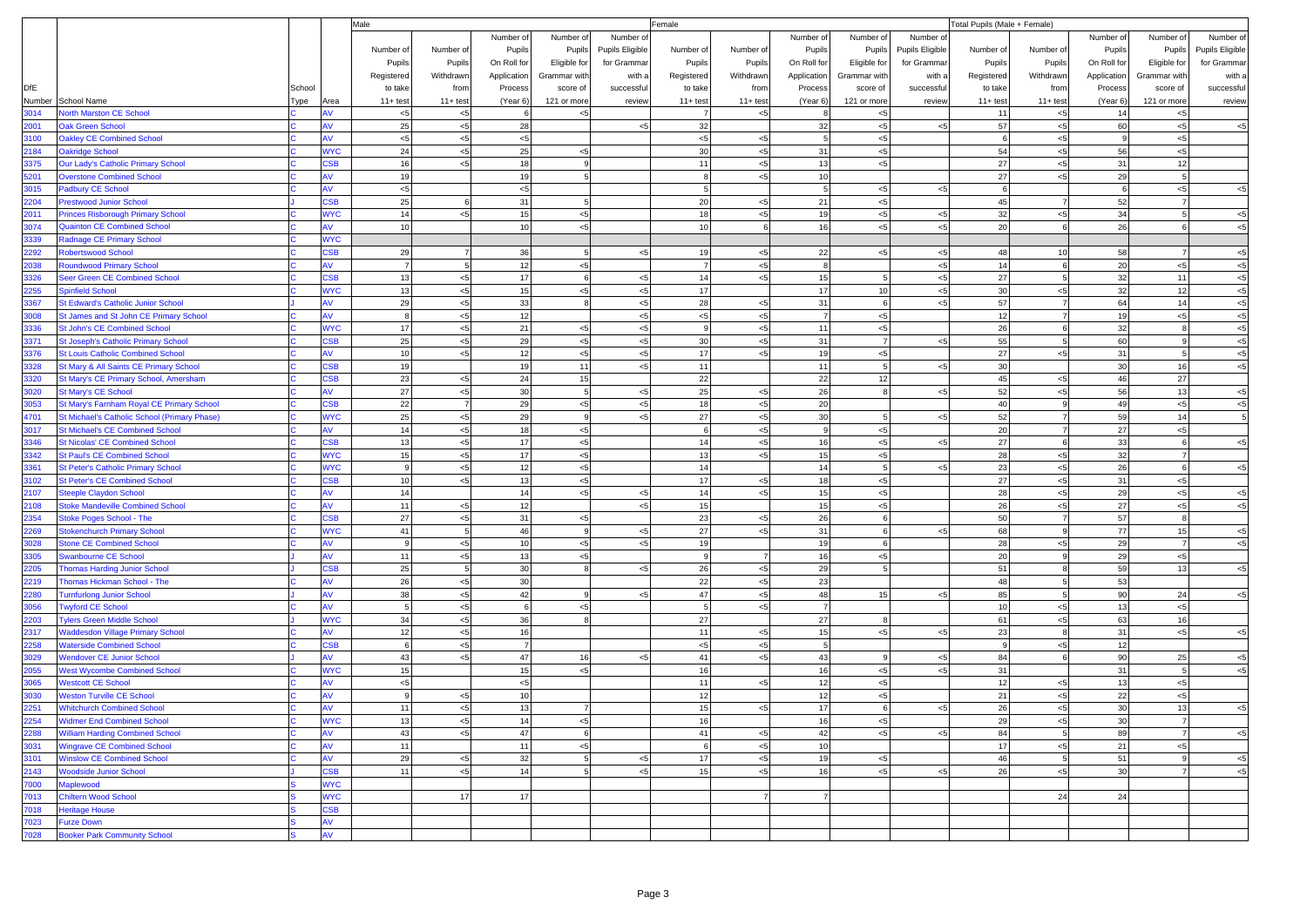|              |                                                                     |        | Male                     |                    |                |                |                |                 | Female         |                |                    |                  |                 | Total Pupils (Male + Female) |                    |             |                |                 |  |
|--------------|---------------------------------------------------------------------|--------|--------------------------|--------------------|----------------|----------------|----------------|-----------------|----------------|----------------|--------------------|------------------|-----------------|------------------------------|--------------------|-------------|----------------|-----------------|--|
|              |                                                                     |        |                          |                    |                | Number of      | Number of      | Number of       |                |                | Number of          | Number of        | Number of       |                              |                    | Number of   | Number of      | Number of       |  |
|              |                                                                     |        |                          | Number of          | Number of      | Pupils         | Pupils         | Pupils Eligible | Number of      | Number of      | Pupils             | Pupils           | Pupils Eligible | Number of                    | Number of          | Pupils      | Pupils         | Pupils Eligible |  |
|              |                                                                     |        |                          | Pupils             | Pupils         | On Roll for    | Eligible for   | for Grammar     | Pupils         | Pupils         | On Roll for        | Eligible for     | for Grammar     | Pupils                       | Pupils             | On Roll for | Eligible for   | for Grammar     |  |
|              |                                                                     |        |                          | Registered         | Withdrawn      | Application    | Grammar with   | with a          | Registered     | Withdrawn      | Application        | Grammar with     | with a          | Registered                   | Withdrawn          | Application | Grammar with   | with a          |  |
| <b>DfE</b>   |                                                                     | School |                          | to take            | from           | Process        | score of       | successful      | to take        | from           | Process            | score of         | successful      | to take                      | from               | Process     | score of       | successful      |  |
| Number       | School Name                                                         | Гуре   | Area                     | $11 + \text{test}$ | $11+ test$     | (Year 6)       | 121 or more    | review          | $11 + test$    | $11 + test$    | (Year 6)           | 121 or more      | review          | $11 + test$                  | $11 + \text{test}$ | (Year 6)    | 121 or more    | review          |  |
| 3014         | <b>North Marston CE School</b>                                      |        |                          | < 5                | $<$ 5          |                | < 5            |                 |                | $<$ 5          |                    | $<$ 5            |                 | 11                           | < 5                | 14          | $<$ 5          |                 |  |
| 2001         | <b>Oak Green School</b>                                             |        | AV                       | 25                 | $< 5$          | 28             |                | < 5             | 32             |                | 32                 | ${<}5$           | <5              | 57                           | $< 5$              | 60          | $< \! 5$       | $< 5$           |  |
| 3100         | <b>Oakley CE Combined School</b>                                    |        | AV                       | < 5                | $< 5$          | $<$ 5          |                |                 | $< 5$          | < 5            | 5                  | $< 5$            |                 |                              | $< 5$              | 9           | $< 5$          |                 |  |
| 2184         | <b>Oakridge School</b>                                              |        | <b>WYC</b>               | 24                 | $< 5$          | 25             | $< 5$          |                 | 30             | $5$            | 31                 | $< 5$            |                 | 54                           | $5$                | 56          | $< 5$          |                 |  |
| 3375         | Our Lady's Catholic Primary School                                  |        | <b>CSB</b>               | 16                 | <5             | 18             | 9              |                 | 11             | < 5            | 13                 | $< 5$            |                 | 27                           | $< 5$              | 31          | 12             |                 |  |
| 5201         | <b>Overstone Combined School</b>                                    |        | AV                       | 19                 |                | 19             | 5              |                 | -8             | < 5            | 10                 |                  |                 | 27                           | < 5                | 29          | $\overline{5}$ |                 |  |
| 3015         | <b>Padbury CE School</b>                                            |        | AV                       | < 5                |                | $< 5$          |                |                 | 5              |                | 5 <sub>l</sub>     | $< 5\,$          | $<$ 5           | 6                            |                    | 6           | $< 5$          | $< 5$           |  |
| 2204         | <b>Prestwood Junior School</b>                                      |        | <b>CSB</b>               | 25                 | 6              | 31             | 5              |                 | 20             | $<$ 5          | 21                 | $< 5\,$          |                 | 45                           |                    | 52          |                |                 |  |
| 2011         | <b>Princes Risborough Primary School</b>                            |        | <b>WYC</b>               | 14                 | $5$            | 15             | $< 5$          |                 | 18             | < 5            | 19                 | $5$              | $\leq$          | 32                           | $5$                | 34          | 5              | $< 5$           |  |
| 3074         | <b>Quainton CE Combined School</b>                                  |        | AV                       | 10                 |                | 10             | $<$ 5          |                 | 10             | 6              | 16                 | $< 5$            | $5$             | 20                           | -6                 | 26          | 6              | $< 5$           |  |
| 3339         | Radnage CE Primary School                                           |        | <b>WYC</b>               |                    |                |                |                |                 |                |                |                    |                  |                 |                              |                    |             |                |                 |  |
| 2292         | <b>Robertswood School</b>                                           |        | <b>CSB</b>               | 29                 |                | 36             | 5              | < 5             | 19             | < 5            | 22                 | $< 5$            | $<$ 5           | 48                           | 10                 | 58          |                | $< 5\,$         |  |
| 2038         | <b>Roundwood Primary School</b>                                     |        | AV                       | $\overline{7}$     | 5              | 12             | $< 5$          |                 | $\overline{7}$ | < 5            | 8                  |                  | $\leq$          | 14                           | 6                  | 20          | $< \! 5$       | < 5             |  |
| 3326         | Seer Green CE Combined School                                       |        | <b>CSB</b>               | 13                 | $< 5$          | 17             | 6              | < 5             | 14             | < 5            | 15                 | 5                | $5$             | 27                           | 5                  | 32          | 11             | < 5             |  |
| 2255         | <b>Spinfield School</b>                                             |        | <b>WYC</b>               | 13                 | $< 5$          | 15             | $< 5$          | $< 5$           | 17             |                | 17                 | 10               | $< 5$           | 30                           | $5$                | 32          | 12             | < 5             |  |
| 3367         | St Edward's Catholic Junior School                                  |        | AV                       | 29                 | $5$            | 33             | 8              | $5$             | 28             | < 5            | 31                 | 6                | <5              | 57                           | $\overline{7}$     | 64          | 14             | $< 5$           |  |
| 3008         | St James and St John CE Primary School                              |        | AV                       | 8                  | $5$            | 12             |                | $< 5$           | $< 5$          | $<$ 5          | 7                  | $< 5$            |                 | 12                           | $\overline{7}$     | 19          | $< 5$          | < 5             |  |
| 3336         | <b>St John's CE Combined School</b>                                 |        | <b>WYC</b>               | 17                 | $< 5$          | 21             | $< 5$          | $< 5$           | - 9            | < 5            | 11                 | ${<}5$           |                 | 26                           | 6                  | 32          |                | $< 5$           |  |
| 3371         | <b>St Joseph's Catholic Primary School</b>                          |        | CSB                      | 25                 | $5$            | 29             | $< 5$          | $5$             | 30             | $<$ 5          | 31                 | $\overline{7}$   | <5              | 55                           | $\overline{5}$     | 60          |                | $< 5$           |  |
| 3376         | <b>St Louis Catholic Combined School</b>                            |        | AV                       | 10 <sup>1</sup>    | $< 5$          | 12             | $< 5$          | $5$             | 17             | < 5            | 19                 | ${<}5$           |                 | 27                           | $5$                | 31          | 5              | $< 5$           |  |
| 3328         | St Mary & All Saints CE Primary School                              |        | <b>CSB</b>               | 19                 |                | 19             | 11             | $5$             | 11             |                | 11                 | 5                | $5$             | 30                           |                    | 30          | 16             | $< 5$           |  |
| 3320         | St Mary's CE Primary School, Amersham                               |        | CSB                      | 23                 | $< 5$          | 24             | 15             |                 | 22             |                | 22                 | 12               |                 | 45                           | $< 5$              | 46          | 27             |                 |  |
| 3020         | <b>St Mary's CE School</b>                                          |        | AV                       | 27                 | $< 5$          | 30             | $\overline{5}$ | $5$             | 25             | $<$ 5          | 26                 | 8                | $5$             | 52                           | $5$                | 56          | 13             | $< 5$           |  |
| 3053         | St Mary's Farnham Royal CE Primary School                           |        | <b>CSB</b>               | 22                 | $\overline{7}$ | 29             | $< 5$          | $< 5$           | 18             | < 5            | 20                 |                  |                 | 40                           | 9                  | 49          | $< 5$          | $< 5\,$         |  |
| 4701         | St Michael's Catholic School (Primary Phase)                        |        | <b>WYC</b>               | 25                 | $< 5$          | 29             | 9              | < 5             | 27             | < 5            | 30<br>$\mathbf{9}$ | 5                | <5              | 52                           | $\overline{7}$     | 59          | 14             | 5               |  |
| 3017         | <b>St Michael's CE Combined School</b>                              |        | AV                       | 14                 | $< 5$          | 18             | $< 5$          |                 | 6              | $<$ 5          |                    | $< 5\,$          |                 | 20                           |                    | 27          | $< 5$<br>6     |                 |  |
| 3346         | <b>St Nicolas' CE Combined School</b>                               |        | <b>CSB</b>               | 13                 | $5$            | 17             | $< 5$          |                 | 14             | < 5            | 16                 | ${<}5$           | <5              | 27                           | 6                  | 33          |                | $< 5\,$         |  |
| 3342         | <b>St Paul's CE Combined School</b>                                 |        | <b>WYC</b>               | 15<br>$\mathsf{Q}$ | $5$            | 17             | $<$ 5          |                 | 13             | < 5            | 15                 | $< 5$            |                 | 28                           | < 5                | 32          | 6              |                 |  |
| 3361         | <b>St Peter's Catholic Primary School</b>                           |        | <b>WYC</b><br><b>CSB</b> | 10 <sup>1</sup>    | $5$            | 12             | $< 5$          |                 | 14<br>17       |                | 14                 | 5                | <5              | 23<br>27                     | $5$                | 26          |                | $< 5$           |  |
| 3102<br>2107 | <b>St Peter's CE Combined School</b>                                |        | AV                       | 14                 | $5$            | 13<br>14       | $< 5$<br>$< 5$ | $< 5$           | 14             | < 5<br>< 5     | 18<br>15           | $5$              |                 | 28                           | $< 5$<br>$< 5$     | 31<br>29    | $< 5$<br>$< 5$ | < 5             |  |
|              | Steeple Claydon School                                              |        | AV                       | 11                 |                | 12             |                | $5$             | 15             |                | 15                 | $< 5\,$<br>$< 5$ |                 | 26                           | < 5                | 27          | $< 5$          |                 |  |
| 2108<br>2354 | <b>Stoke Mandeville Combined School</b><br>Stoke Poges School - The |        | CSB                      | 27                 | $5$            | 31             | $< 5$          |                 | 23             | $<$ 5          | 26                 | 6                |                 | 50                           | $\overline{7}$     | 57          |                | $< 5$           |  |
| 2269         | <b>Stokenchurch Primary School</b>                                  |        | <b>WYC</b>               | 41                 | $< 5$<br>5     | 46             | 9              | < 5             | 27             | $5$            | 31                 | 6                | <5              | 68                           | 9                  | 77          | 15             | $< 5$           |  |
| 3028         | <b>Stone CE Combined School</b>                                     |        | AV                       | 9                  | $5$            | 10             | $<$ 5          | < 5             | 19             |                | 19                 | 6                |                 | 28                           | < 5                | 29          | $\overline{7}$ | $< 5$           |  |
| 3305         | <b>Swanbourne CE School</b>                                         |        |                          | 11                 | $5$            | 13             | $< 5$          |                 | 9              | $\overline{7}$ | 16                 | $< 5$            |                 | 20                           | 9                  | 29          | $< \! 5$       |                 |  |
| 2205         | <b>Thomas Harding Junior School</b>                                 |        | CSB                      | 25                 | 5              | 30             | 8              | < 5             | 26             | $<$ 5          | 29                 |                  |                 | 51                           |                    | 59          | 13             | $< 5$           |  |
| 2219         | Thomas Hickman School - The                                         |        | AV                       | 26                 | $5$            | 30             |                |                 | 22             | < 5            | 23                 |                  |                 | 48                           | 5                  | 53          |                |                 |  |
| 2280         | <b>Turnfurlong Junior School</b>                                    |        | AV                       | 38                 | $< 5$          | 42             | 9              | $<$ 5           | 47             | < 5            | 48                 | 15               | $<$ 5           | 85                           | 5                  | 90          | 24             | < 5             |  |
| 3056         | <b>Twyford CE School</b>                                            |        | AV                       | 5 <sup>1</sup>     | $< 5$          |                | $< 5$          |                 | 5              | < 5            | $\overline{7}$     |                  |                 | 10                           | $5$                | 13          | $< 5$          |                 |  |
| 2203         | <b>Tylers Green Middle School</b>                                   |        | <b>WYC</b>               | 34                 | $5$            | 36             | $\mathsf{R}$   |                 | 27             |                | 27                 | 8                |                 | 61                           | $5$                | 63          | 16             |                 |  |
| 2317         | <b>Waddesdon Village Primary School</b>                             |        | AV                       | 12                 | $< 5$          | 16             |                |                 | 11             | < 5            | 15                 | $< 5$            | <5              | 23                           | 8                  | 31          | $< 5$          | $< 5$           |  |
| 2258         | <b>Waterside Combined School</b>                                    |        | <b>CSB</b>               | $6 \mid$           | $< 5$          | $\overline{7}$ |                |                 | ${<}5$         | $<$ 5          | 5 <sub>1</sub>     |                  |                 | $\mathsf{Q}$                 | $5$                | 12          |                |                 |  |
| 3029         | <b>Wendover CE Junior School</b>                                    |        | AV                       | 43                 | $5$            | 47             | 16             | $\leq$          | 41             | $<$ 5          | 43                 | -9               | <5              | 84                           |                    | 90          | 25             | $< 5$           |  |
| 2055         | <b>West Wycombe Combined School</b>                                 |        | <b>WYC</b>               | 15                 |                | 15             | $< 5$          |                 | 16             |                | 16                 | $< 5$            | $\leq$          | 31                           |                    | 31          | 5              | < 5             |  |
| 3065         | <b>Westcott CE School</b>                                           |        | AV                       | < 5                |                | $<$ 5          |                |                 | 11             | $<$ 5          | 12                 | < 5              |                 | 12                           | < 5                | 13          | $< 5$          |                 |  |
| 3030         | <b>Weston Turville CE School</b>                                    |        |                          | 9                  | $<$ 5          | 10             |                |                 | 12             |                | 12                 | $< 5$            |                 | 21                           | $5$                | 22          | $< \! 5$       |                 |  |
| 2251         | <b>Whitchurch Combined School</b>                                   |        | AV                       | 11                 | $< 5$          | 13             | $\overline{7}$ |                 | 15             | < 5            | 17                 | 6                | $5$             | 26                           | <5                 | 30          | 13             | $5$             |  |
| 2254         | <b>Widmer End Combined School</b>                                   |        | <b>WYC</b>               | 13                 | $<$ 5          | 14             | < 5            |                 | 16             |                | 16                 | $< 5$            |                 | 29                           | $5$                | 30          | $\overline{7}$ |                 |  |
| 2288         | <b>William Harding Combined School</b>                              |        | AV                       | 43                 | $< 5$          | 47             | 6              |                 | 41             | < 5            | 42                 | < 5              | <5              | 84                           | 5                  | 89          | $\overline{7}$ | $< 5$           |  |
| 3031         | <b>Wingrave CE Combined School</b>                                  |        | AV                       | 11                 |                | 11             | $< 5$          |                 | 6              | $<$ 5          | 10                 |                  |                 | 17                           | $< 5$              | 21          | $< 5$          |                 |  |
| 3101         | <b>Winslow CE Combined School</b>                                   |        | AV                       | 29                 | $5$            | 32             | 5              | < 5             | 17             | < 5            | 19                 | $< 5\,$          |                 | 46                           | 5                  | 51          | 9              | $< 5\,$         |  |
| 2143         | <b>Woodside Junior School</b>                                       |        | <b>CSB</b>               | 11                 | ${<}5$         | 14             | 5 <sub>5</sub> | $< 5$           | 15             | < 5            | 16                 | $< 5$            | $<$ 5           | 26                           | < 5                | 30          | <b>7</b>       | $< 5$           |  |
| 7000         | Maplewood                                                           |        | <b>WYC</b>               |                    |                |                |                |                 |                |                |                    |                  |                 |                              |                    |             |                |                 |  |
| 7013         | <b>Chiltern Wood School</b>                                         |        | <b>WYC</b>               |                    | 17             | 17             |                |                 |                | $\overline{7}$ | $\overline{7}$     |                  |                 |                              | 24                 | 24          |                |                 |  |
| 7018         | <b>Heritage House</b>                                               |        | <b>CSB</b>               |                    |                |                |                |                 |                |                |                    |                  |                 |                              |                    |             |                |                 |  |
| 7023         | <b>Furze Down</b>                                                   |        | AV                       |                    |                |                |                |                 |                |                |                    |                  |                 |                              |                    |             |                |                 |  |
| 7028         | <b>Booker Park Community School</b>                                 |        | AV                       |                    |                |                |                |                 |                |                |                    |                  |                 |                              |                    |             |                |                 |  |